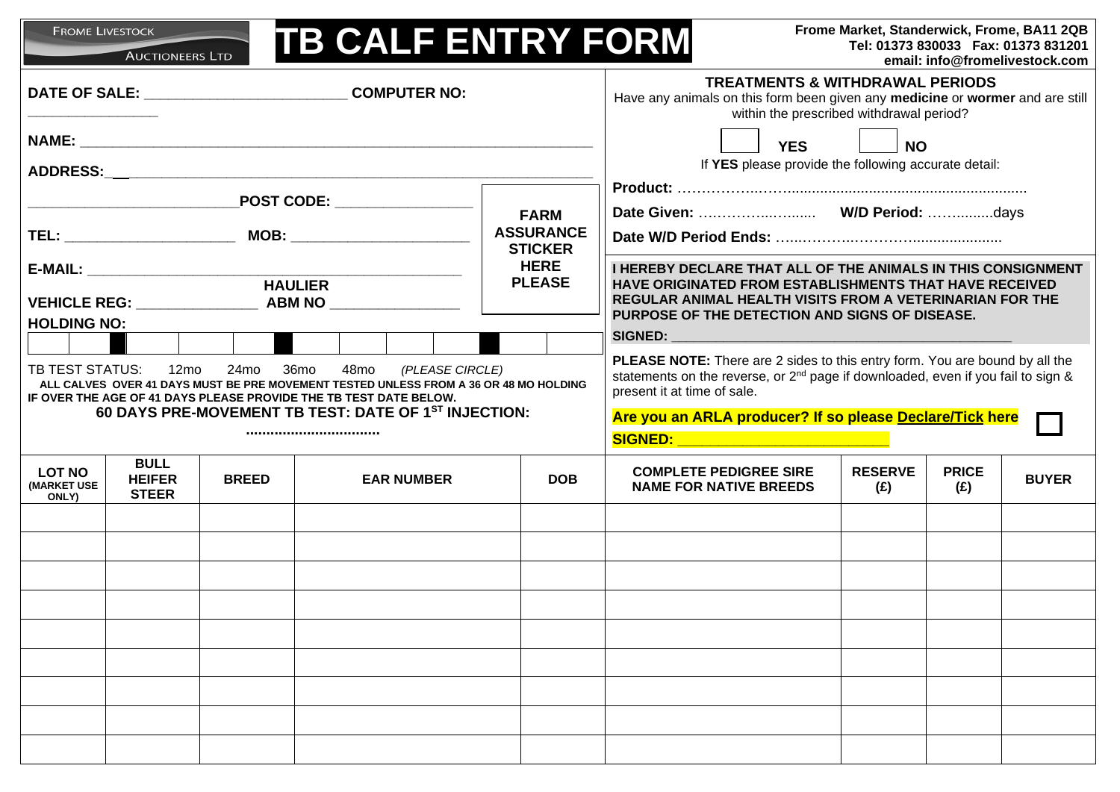| Frome Market, Standerwick, Frome, BA11 2QB<br><b>FROME LIVESTOCK</b><br><b>TB CALF ENTRY FORM</b><br>Tel: 01373 830033  Fax: 01373 831201<br><b>AUCTIONEERS LTD</b><br>email: info@fromelivestock.com                                                                                                             |                                              |              |                   |  |  |                                    |                                                                                                                                                                                                                                                                                                                                                                                                                                                                                                                     |                                                                                                                                                                                                                                                           |                       |                     |              |
|-------------------------------------------------------------------------------------------------------------------------------------------------------------------------------------------------------------------------------------------------------------------------------------------------------------------|----------------------------------------------|--------------|-------------------|--|--|------------------------------------|---------------------------------------------------------------------------------------------------------------------------------------------------------------------------------------------------------------------------------------------------------------------------------------------------------------------------------------------------------------------------------------------------------------------------------------------------------------------------------------------------------------------|-----------------------------------------------------------------------------------------------------------------------------------------------------------------------------------------------------------------------------------------------------------|-----------------------|---------------------|--------------|
| DATE OF SALE: ___________________________________ COMPUTER NO:                                                                                                                                                                                                                                                    |                                              |              |                   |  |  |                                    | <b>TREATMENTS &amp; WITHDRAWAL PERIODS</b><br>Have any animals on this form been given any medicine or wormer and are still<br>within the prescribed withdrawal period?                                                                                                                                                                                                                                                                                                                                             |                                                                                                                                                                                                                                                           |                       |                     |              |
|                                                                                                                                                                                                                                                                                                                   |                                              |              |                   |  |  |                                    |                                                                                                                                                                                                                                                                                                                                                                                                                                                                                                                     | <b>YES</b><br><b>NO</b><br>If YES please provide the following accurate detail:                                                                                                                                                                           |                       |                     |              |
|                                                                                                                                                                                                                                                                                                                   |                                              |              |                   |  |  |                                    |                                                                                                                                                                                                                                                                                                                                                                                                                                                                                                                     |                                                                                                                                                                                                                                                           |                       |                     |              |
| $\_$ POST CODE: $\_\_\_\_\_\_\_\_\_\_\_\_\_\_\_\_\_\_\_$<br><b>FARM</b>                                                                                                                                                                                                                                           |                                              |              |                   |  |  |                                    |                                                                                                                                                                                                                                                                                                                                                                                                                                                                                                                     |                                                                                                                                                                                                                                                           |                       |                     |              |
|                                                                                                                                                                                                                                                                                                                   |                                              |              |                   |  |  | <b>ASSURANCE</b><br><b>STICKER</b> |                                                                                                                                                                                                                                                                                                                                                                                                                                                                                                                     |                                                                                                                                                                                                                                                           |                       |                     |              |
| VEHICLE REG: ________________ ABM NO ______________                                                                                                                                                                                                                                                               |                                              |              |                   |  |  | <b>HERE</b><br><b>PLEASE</b>       |                                                                                                                                                                                                                                                                                                                                                                                                                                                                                                                     | <b>I HEREBY DECLARE THAT ALL OF THE ANIMALS IN THIS CONSIGNMENT</b><br><b>HAVE ORIGINATED FROM ESTABLISHMENTS THAT HAVE RECEIVED</b><br><b>REGULAR ANIMAL HEALTH VISITS FROM A VETERINARIAN FOR THE</b><br>PURPOSE OF THE DETECTION AND SIGNS OF DISEASE. |                       |                     |              |
| <b>HOLDING NO:</b>                                                                                                                                                                                                                                                                                                |                                              |              |                   |  |  |                                    |                                                                                                                                                                                                                                                                                                                                                                                                                                                                                                                     |                                                                                                                                                                                                                                                           |                       |                     |              |
| TB TEST STATUS: 12mo<br>24 <sub>mo</sub><br>36mo<br>48mo<br>(PLEASE CIRCLE)<br>ALL CALVES OVER 41 DAYS MUST BE PRE MOVEMENT TESTED UNLESS FROM A 36 OR 48 MO HOLDING<br>IF OVER THE AGE OF 41 DAYS PLEASE PROVIDE THE TB TEST DATE BELOW.<br>60 DAYS PRE-MOVEMENT TB TEST: DATE OF 1 <sup>ST</sup> INJECTION:<br> |                                              |              |                   |  |  |                                    | <b>PLEASE NOTE:</b> There are 2 sides to this entry form. You are bound by all the<br>statements on the reverse, or 2 <sup>nd</sup> page if downloaded, even if you fail to sign &<br>present it at time of sale.<br>Are you an ARLA producer? If so please Declare/Tick here<br><b>SIGNED:</b> And the state of the state of the state of the state of the state of the state of the state of the state of the state of the state of the state of the state of the state of the state of the state of the state of |                                                                                                                                                                                                                                                           |                       |                     |              |
| <b>LOT NO</b><br><b>(MARKET USE)</b><br>ONLY)                                                                                                                                                                                                                                                                     | <b>BULL</b><br><b>HEIFER</b><br><b>STEER</b> | <b>BREED</b> | <b>EAR NUMBER</b> |  |  |                                    | <b>DOB</b>                                                                                                                                                                                                                                                                                                                                                                                                                                                                                                          | <b>COMPLETE PEDIGREE SIRE</b><br><b>NAME FOR NATIVE BREEDS</b>                                                                                                                                                                                            | <b>RESERVE</b><br>(£) | <b>PRICE</b><br>(E) | <b>BUYER</b> |
|                                                                                                                                                                                                                                                                                                                   |                                              |              |                   |  |  |                                    |                                                                                                                                                                                                                                                                                                                                                                                                                                                                                                                     |                                                                                                                                                                                                                                                           |                       |                     |              |
|                                                                                                                                                                                                                                                                                                                   |                                              |              |                   |  |  |                                    |                                                                                                                                                                                                                                                                                                                                                                                                                                                                                                                     |                                                                                                                                                                                                                                                           |                       |                     |              |
|                                                                                                                                                                                                                                                                                                                   |                                              |              |                   |  |  |                                    |                                                                                                                                                                                                                                                                                                                                                                                                                                                                                                                     |                                                                                                                                                                                                                                                           |                       |                     |              |
|                                                                                                                                                                                                                                                                                                                   |                                              |              |                   |  |  |                                    |                                                                                                                                                                                                                                                                                                                                                                                                                                                                                                                     |                                                                                                                                                                                                                                                           |                       |                     |              |
|                                                                                                                                                                                                                                                                                                                   |                                              |              |                   |  |  |                                    |                                                                                                                                                                                                                                                                                                                                                                                                                                                                                                                     |                                                                                                                                                                                                                                                           |                       |                     |              |
|                                                                                                                                                                                                                                                                                                                   |                                              |              |                   |  |  |                                    |                                                                                                                                                                                                                                                                                                                                                                                                                                                                                                                     |                                                                                                                                                                                                                                                           |                       |                     |              |
|                                                                                                                                                                                                                                                                                                                   |                                              |              |                   |  |  |                                    |                                                                                                                                                                                                                                                                                                                                                                                                                                                                                                                     |                                                                                                                                                                                                                                                           |                       |                     |              |
|                                                                                                                                                                                                                                                                                                                   |                                              |              |                   |  |  |                                    |                                                                                                                                                                                                                                                                                                                                                                                                                                                                                                                     |                                                                                                                                                                                                                                                           |                       |                     |              |
|                                                                                                                                                                                                                                                                                                                   |                                              |              |                   |  |  |                                    |                                                                                                                                                                                                                                                                                                                                                                                                                                                                                                                     |                                                                                                                                                                                                                                                           |                       |                     |              |